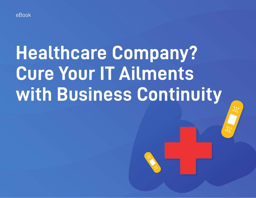

# **Healthcare Company? Cure Your IT Ailments with Business Continuity**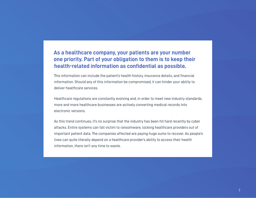#### **As a healthcare company, your patients are your number one priority. Part of your obligation to them is to keep their health-related information as confidential as possible.**

This information can include the patient's health history, insurance details, and financial information. Should any of this information be compromised, it can hinder your ability to deliver healthcare services.

Healthcare regulations are constantly evolving and, in order to meet new industry standards, more and more healthcare businesses are actively converting medical records into electronic versions.

As this trend continues, it's no surprise that the industry has been hit hard recently by cyber attacks. Entire systems can fall victim to ransomware, locking healthcare providers out of important patient data. The companies affected are paying huge sums to recover. As people's lives can quite literally depend on a healthcare provider's ability to access their health information, there isn't any time to waste.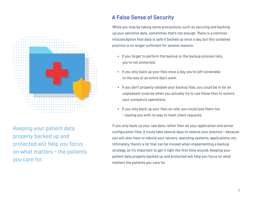

Keeping your patient data properly backed up and protected will help you focus on what matters – the patients you care for.

## **A False Sense of Security**

While you may be taking some precautions, such as securing and backing up your sensitive data, sometimes that's not enough. There is a common misconception that data is safe if backed up once a day, but this outdated practice is no longer sufficient for several reasons:

- •If you forget to perform the backup or the backup process fails, you're not protected.
- If you only back up your files once a day, you're left vulnerable to the loss of an entire day's work.
- If you don't properly validate your backup files, you could be in for an unpleasant surprise when you actually try to use those files to restore your company's operations.
- If you only back up your files on-site, you could lose them too – leaving you with no way to meet client requests.

If you only back up your raw data, rather than all your application and server configuration files, it could take several days to restore your practice - because you will also have to rebuild your servers, operating systems, applications, etc. Ultimately, there's a lot that can be missed when implementing a backup strategy, so it's important to get it right the first time around. Keeping your patient data properly backed up and protected will help you focus on what matters the patients you care for.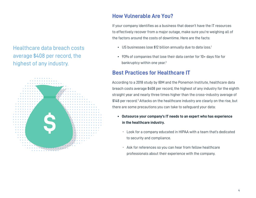Healthcare data breach costs average \$408 per record, the highest of any industry.



## **How Vulnerable Are You?**

If your company identifies as a business that doesn't have the IT resources to effectively recover from a major outage, make sure you're weighing all of the factors around the costs of downtime. Here are the facts:

- US businesses lose \$12 billion annually due to data loss.<sup>1</sup>
- 93% of companies that lose their data center for 10+ days file for bankruptcy within one year.<sup>2</sup>

## **Best Practices for Healthcare IT**

According to a 2018 study by IBM and the Ponemon Institute, healthcare data breach costs average \$408 per record, the highest of any industry for the eighth straight year and nearly three times higher than the cross-industry average of \$148 per record.<sup>3</sup> Attacks on the healthcare industry are clearly on the rise, but there are some precautions you can take to safeguard your data:

- **Outsource your company's IT needs to an expert who has experience in the healthcare industry.** 
	- -Look for a company educated in HIPAA with a team that's dedicated to security and compliance.
	- -Ask for references so you can hear from fellow healthcare professionals about their experience with the company.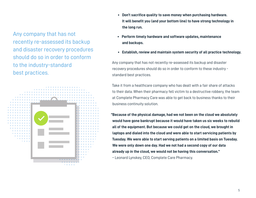Any company that has not recently re-assessed its backup and disaster recovery procedures should do so in order to conform to the industry-standard best practices.



- Don't sacrifice quality to save money when purchasing hardware. It will benefit you (and your bottom line) to have strong technology in  **the long run.**
- **Perform timely hardware and software updates, maintenance and backups.**
- **Establish, review and maintain system security of all practice technology.**

Any company that has not recently re-assessed its backup and disaster recovery procedures should do so in order to conform to these industry standard best practices.

Take it from a healthcare company who has dealt with a fair share of attacks to their data. When their pharmacy fell victim to a destructive robbery, the team at Complete Pharmacy Care was able to get back to business thanks to their business continuity solution.

**"Because of the physical damage, had we not been on the cloud we absolutely would have gone bankrupt because it would have taken us six weeks to rebuild all of the equipment. But because we could get on the cloud, we brought in laptops and dialed into the cloud and were able to start servicing patients by Tuesday. We were able to start serving patients on a limited basis on Tuesday. We were only down one day. Had we not had a second copy of our data already up in the cloud, we would not be having this conversation."** 

– Leonard Lynskey, CEO, Complete Care Pharmacy.